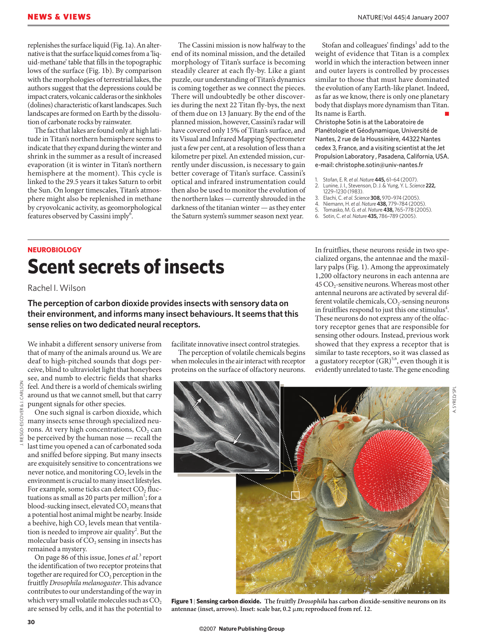replenishes the surface liquid (Fig. 1a). An alternative is that the surface liquid comes from a 'liquid-methane' table that fills in the topographic lows of the surface (Fig. 1b). By comparison with the morphologies of terrestrial lakes, the authors suggest that the depressions could be impact craters, volcanic calderas or the sinkholes (dolines) characteristic of karst landscapes. Such landscapes are formed on Earth by the dissolution of carbonate rocks by rainwater.

The fact that lakes are found only at high latitude in Titan's northern hemisphere seems to indicate that they expand during the winter and shrink in the summer as a result of increased evaporation (it is winter in Titan's northern hemisphere at the moment). This cycle is linked to the 29.5 years it takes Saturn to orbit the Sun. On longer timescales, Titan's atmosphere might also be replenished in methane by cryovolcanic activity, as geomorphological features observed by Cassini imply<sup>6</sup>.

The Cassini mission is now halfway to the end of its nominal mission, and the detailed morphology of Titan's surface is becoming steadily clearer at each fly-by. Like a giant puzzle, our understanding of Titan's dynamics is coming together as we connect the pieces. There will undoubtedly be other discoveries during the next 22 Titan fly-bys, the next of them due on 13 January. By the end of the planned mission, however, Cassini's radar will have covered only 15% of Titan's surface, and its Visual and Infrared Mapping Spectrometer just a few per cent, at a resolution of less than a kilometre per pixel. An extended mission, currently under discussion, is necessary to gain better coverage of Titan's surface. Cassini's optical and infrared instrumentation could then also be used to monitor the evolution of the northern lakes — currently shrouded in the darkness of the titanian winter — as they enter the Saturn system's summer season next year.

Stofan and colleagues' findings<sup>1</sup> add to the weight of evidence that Titan is a complex world in which the interaction between inner and outer layers is controlled by processes similar to those that must have dominated the evolution of any Earth-like planet. Indeed, as far as we know, there is only one planetary body that displays more dynamism than Titan. Its name is Earth.

Christophe Sotin is at the Laboratoire de Planétologie et Géodynamique, Université de Nantes, 2 rue de la Houssinière, 44322 Nantes cedex 3, France, and a visiting scientist at the Jet Propulsion Laboratory , Pasadena, California, USA. e-mail: christophe.sotin@univ-nantes.fr

- 1. Stofan, E. R. *et al.Nature* **445,** 61–64 (2007).
- 2. Lunine, J. I., Stevenson, D. J. & Yung, Y. L. *Science* **222,** 1229–1230 (1983).
- 3. Elachi, C. *et al. Science* **308,** 970–974 (2005).
- 4. Niemann, H. *et al.Nature* **438,** 779–784 (2005).
- 5. Tomasko, M. G. *et al.Natur*e **438,** 765–778 (2005). 6. Sotin, C. *et al.Nature* **435,** 786–789 (2005).
- 

## **NEUROBIOLOGY Scent secrets of insects**

Rachel I. Wilson

**The perception of carbon dioxide provides insects with sensory data on their environment, and informs many insect behaviours. It seems that this sense relies on two dedicated neural receptors.** 

We inhabit a different sensory universe from that of many of the animals around us. We are deaf to high-pitched sounds that dogs perceive, blind to ultraviolet light that honeybees see, and numb to electric fields that sharks feel. And there is a world of chemicals swirling around us that we cannot smell, but that carry pungent signals for other species.

One such signal is carbon dioxide, which many insects sense through specialized neurons. At very high concentrations,  $CO<sub>2</sub>$  can be perceived by the human nose — recall the last time you opened a can of carbonated soda and sniffed before sipping. But many insects are exquisitely sensitive to concentrations we never notice, and monitoring  $CO<sub>2</sub>$  levels in the environment is crucial to many insect lifestyles. For example, some ticks can detect  $CO<sub>2</sub>$  fluctuations as small as 20 parts per million<sup>1</sup>; for a blood-sucking insect, elevated CO<sub>2</sub> means that a potential host animal might be nearby. Inside a beehive, high CO<sub>2</sub> levels mean that ventilation is needed to improve air quality<sup>2</sup>. But the molecular basis of  $CO<sub>2</sub>$  sensing in insects has remained a mystery.

On page 86 of this issue, Jones *et al.*<sup>3</sup> report the identification of two receptor proteins that together are required for  $CO<sub>2</sub>$  perception in the fruitfly *Drosophila melanogaster*. This advance contributes to our understanding of the way in which very small volatile molecules such as CO<sub>2</sub> are sensed by cells, and it has the potential to

facilitate innovative insect control strategies.

The perception of volatile chemicals begins when molecules in the air interact with receptor proteins on the surface of olfactory neurons.

In fruitflies, these neurons reside in two specialized organs, the antennae and the maxillary palps (Fig. 1). Among the approximately 1,200 olfactory neurons in each antenna are 45  $CO_2$ -sensitive neurons. Whereas most other antennal neurons are activated by several different volatile chemicals,  $CO<sub>2</sub>$ -sensing neurons in fruitflies respond to just this one stimulus<sup>4</sup>. These neurons do not express any of the olfactory receptor genes that are responsible for sensing other odours. Instead, previous work showed that they express a receptor that is similar to taste receptors, so it was classed as a gustatory receptor  $(GR)^{5,6}$ , even though it is evidently unrelated to taste. The gene encoding



**Figure 1** | **Sensing carbon dioxide. The fruitfly** *Drosophila* **has carbon dioxide-sensitive neurons on its**  antennae (inset, arrows). Inset: scale bar, 0.2  $\mu$ m; reproduced from ref. 12.